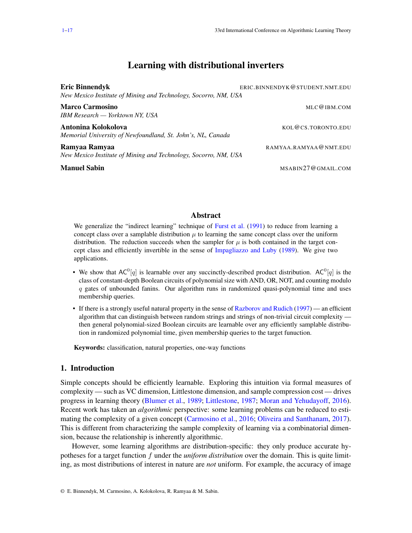# Learning with distributional inverters

<span id="page-0-0"></span>

| <b>Eric Binnendyk</b><br>New Mexico Institute of Mining and Technology, Socorro, NM, USA | ERIC.BINNENDYK@STUDENT.NMT.EDU |
|------------------------------------------------------------------------------------------|--------------------------------|
| <b>Marco Carmosino</b><br>IBM Research — Yorktown NY, USA                                | MLC@IBM.COM                    |
| Antonina Kolokolova<br>Memorial University of Newfoundland, St. John's, NL, Canada       | KOL@CS.TORONTO.EDU             |
| Ramyaa Ramyaa<br>New Mexico Institute of Mining and Technology, Socorro, NM, USA         | RAMYAA.RAMYAA@NMT.EDU          |
| <b>Manuel Sabin</b>                                                                      | MSABIN27@GMAIL.COM             |

# Abstract

We generalize the "indirect learning" technique of [Furst et al.](#page-14-0) [\(1991\)](#page-14-0) to reduce from learning a concept class over a samplable distribution  $\mu$  to learning the same concept class over the uniform distribution. The reduction succeeds when the sampler for  $\mu$  is both contained in the target concept class and efficiently invertible in the sense of [Impagliazzo and Luby](#page-14-1) [\(1989\)](#page-14-1). We give two applications.

- We show that  $AC^0[q]$  is learnable over any succinctly-described product distribution.  $AC^0[q]$  is the class of constant-depth Boolean circuits of polynomial size with AND, OR, NOT, and counting modulo  $q$  gates of unbounded fanins. Our algorithm runs in randomized quasi-polynomial time and uses membership queries.
- If there is a strongly useful natural property in the sense of [Razborov and Rudich](#page-15-0) [\(1997\)](#page-15-0) an efficient algorithm that can distinguish between random strings and strings of non-trivial circuit complexity then general polynomial-sized Boolean circuits are learnable over any efficiently samplable distribution in randomized polynomial time, given membership queries to the target funuction.

Keywords: classification, natural properties, one-way functions

## 1. Introduction

Simple concepts should be efficiently learnable. Exploring this intuition via formal measures of complexity — such as VC dimension, Littlestone dimension, and sample compression cost — drives progress in learning theory [\(Blumer et al.,](#page-13-0) [1989;](#page-13-0) [Littlestone,](#page-15-1) [1987;](#page-15-1) [Moran and Yehudayoff,](#page-15-2) [2016\)](#page-15-2). Recent work has taken an *algorithmic* perspective: some learning problems can be reduced to estimating the complexity of a given concept [\(Carmosino et al.,](#page-13-1) [2016;](#page-13-1) [Oliveira and Santhanam,](#page-15-3) [2017\)](#page-15-3). This is different from characterizing the sample complexity of learning via a combinatorial dimension, because the relationship is inherently algorithmic.

However, some learning algorithms are distribution-specific: they only produce accurate hypotheses for a target function f under the *uniform distribution* over the domain. This is quite limiting, as most distributions of interest in nature are *not* uniform. For example, the accuracy of image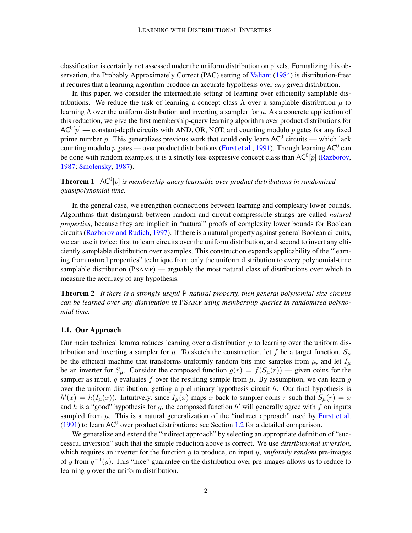classification is certainly not assessed under the uniform distribution on pixels. Formalizing this observation, the Probably Approximately Correct (PAC) setting of [Valiant](#page-16-1) [\(1984\)](#page-16-1) is distribution-free: it requires that a learning algorithm produce an accurate hypothesis over *any* given distribution.

In this paper, we consider the intermediate setting of learning over efficiently samplable distributions. We reduce the task of learning a concept class  $\Lambda$  over a samplable distribution  $\mu$  to learning  $\Lambda$  over the uniform distribution and inverting a sampler for  $\mu$ . As a concrete application of this reduction, we give the first membership-query learning algorithm over product distributions for  $AC^0[p]$  — constant-depth circuits with AND, OR, NOT, and counting modulo p gates for any fixed prime number p. This generalizes previous work that could only learn  $AC^0$  circuits — which lack counting modulo p gates — over product distributions [\(Furst et al.,](#page-14-0) [1991\)](#page-14-0). Though learning AC<sup>0</sup> can be done with random examples, it is a strictly less expressive concept class than  $AC^0[p]$  [\(Razborov,](#page-15-4) [1987;](#page-15-4) [Smolensky,](#page-15-5) [1987\)](#page-15-5).

<span id="page-1-1"></span>**Theorem 1**  $AC^0[p]$  is membership-query learnable over product distributions in randomized *quasipolynomial time.*

In the general case, we strengthen connections between learning and complexity lower bounds. Algorithms that distinguish between random and circuit-compressible strings are called *natural properties*, because they are implicit in "natural" proofs of complexity lower bounds for Boolean circuits [\(Razborov and Rudich,](#page-15-0) [1997\)](#page-15-0). If there is a natural property against general Boolean circuits, we can use it twice: first to learn circuits over the uniform distribution, and second to invert any efficiently samplable distribution over examples. This construction expands applicability of the "learning from natural properties" technique from only the uniform distribution to every polynomial-time samplable distribution (PSAMP) — arguably the most natural class of distributions over which to measure the accuracy of any hypothesis.

<span id="page-1-0"></span>Theorem 2 *If there is a strongly useful* P*-natural property, then general polynomial-size circuits can be learned over any distribution in* PSAMP *using membership queries in randomized polynomial time.*

#### 1.1. Our Approach

Our main technical lemma reduces learning over a distribution  $\mu$  to learning over the uniform distribution and inverting a sampler for  $\mu$ . To sketch the construction, let f be a target function,  $S_{\mu}$ be the efficient machine that transforms uniformly random bits into samples from  $\mu$ , and let  $I_{\mu}$ be an inverter for  $S_\mu$ . Consider the composed function  $g(r) = f(S_\mu(r))$  — given coins for the sampler as input, q evaluates f over the resulting sample from  $\mu$ . By assumption, we can learn q over the uniform distribution, getting a preliminary hypothesis circuit  $h$ . Our final hypothesis is  $h'(x) = h(I_\mu(x))$ . Intuitively, since  $I_\mu(x)$  maps x back to sampler coins r such that  $S_\mu(r) = x$ and h is a "good" hypothesis for g, the composed function  $h'$  will generally agree with f on inputs sampled from  $\mu$ . This is a natural generalization of the "indirect approach" used by [Furst et al.](#page-14-0) [\(1991\)](#page-14-0) to learn  $AC^0$  over product distributions; see Section [1.2](#page-2-0) for a detailed comparison.

We generalize and extend the "indirect approach" by selecting an appropriate definition of "successful inversion" such that the simple reduction above is correct. We use *distributional inversion*, which requires an inverter for the function g to produce, on input y, *uniformly random* pre-images of y from  $g^{-1}(y)$ . This "nice" guarantee on the distribution over pre-images allows us to reduce to learning q over the uniform distribution.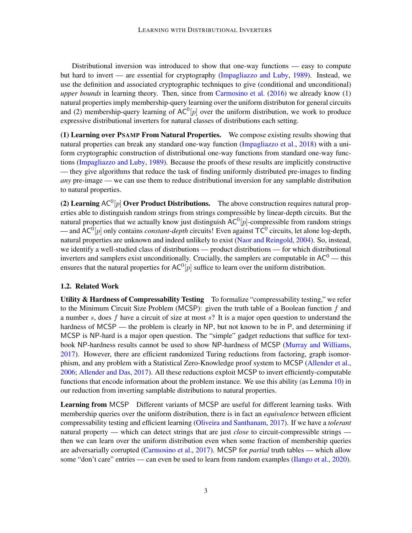Distributional inversion was introduced to show that one-way functions — easy to compute but hard to invert — are essential for cryptography [\(Impagliazzo and Luby,](#page-14-1) [1989\)](#page-14-1). Instead, we use the definition and associated cryptographic techniques to give (conditional and unconditional) *upper bounds* in learning theory. Then, since from [Carmosino et al.](#page-13-1) [\(2016\)](#page-13-1) we already know (1) natural properties imply membership-query learning over the uniform distributon for general circuits and (2) membership-query learning of  $AC^0[p]$  over the uniform distribution, we work to produce expressive distributional inverters for natural classes of distributions each setting.

(1) Learning over PSAMP From Natural Properties. We compose existing results showing that natural properties can break any standard one-way function [\(Impagliazzo et al.,](#page-14-2) [2018\)](#page-14-2) with a uniform cryptographic construction of distributional one-way functions from standard one-way functions [\(Impagliazzo and Luby,](#page-14-1) [1989\)](#page-14-1). Because the proofs of these results are implicitly constructive — they give algorithms that reduce the task of finding uniformly distributed pre-images to finding *any* pre-image — we can use them to reduce distributional inversion for any samplable distribution to natural properties.

(2) Learning AC<sup>0</sup>[p] Over Product Distributions. The above construction requires natural properties able to distinguish random strings from strings compressible by linear-depth circuits. But the natural properties that we actually know just distinguish  $AC^0[p]$ -compressible from random strings  $-$  and AC<sup>0</sup>[p] only contains *constant-depth* circuits! Even against  $TC^0$  circuits, let alone log-depth, natural properties are unknown and indeed unlikely to exist [\(Naor and Reingold,](#page-15-6) [2004\)](#page-15-6). So, instead, we identify a well-studied class of distributions — product distributions — for which distributional inverters and samplers exist unconditionally. Crucially, the samplers are computable in  $AC^0$  — this ensures that the natural properties for  $AC^0[p]$  suffice to learn over the uniform distribution.

### <span id="page-2-0"></span>1.2. Related Work

Utility & Hardness of Compressability Testing To formalize "compressability testing," we refer to the Minimum Circuit Size Problem (MCSP): given the truth table of a Boolean function  $f$  and a number s, does f have a circuit of size at most  $s$ ? It is a major open question to understand the hardness of MCSP — the problem is clearly in NP, but not known to be in P, and determining if MCSP is NP-hard is a major open question. The "simple" gadget reductions that suffice for textbook NP-hardness results cannot be used to show NP-hardness of MCSP [\(Murray and Williams,](#page-15-7) [2017\)](#page-15-7). However, there are efficient randomized Turing reductions from factoring, graph isomorphism, and any problem with a Statistical Zero-Knowledge proof system to MCSP [\(Allender et al.,](#page-13-2) [2006;](#page-13-2) [Allender and Das,](#page-13-3) [2017\)](#page-13-3). All these reductions exploit MCSP to invert efficiently-computable functions that encode information about the problem instance. We use this ability (as Lemma [10\)](#page-7-0) in our reduction from inverting samplable distributions to natural properties.

Learning from MCSP Different variants of MCSP are useful for different learning tasks. With membership queries over the uniform distribution, there is in fact an *equivalence* between efficient compressability testing and efficient learning [\(Oliveira and Santhanam,](#page-15-3) [2017\)](#page-15-3). If we have a *tolerant* natural property — which can detect strings that are just *close* to circuit-compressible strings then we can learn over the uniform distribution even when some fraction of membership queries are adversarially corrupted [\(Carmosino et al.,](#page-13-4) [2017\)](#page-13-4). MCSP for *partial* truth tables — which allow some "don't care" entries — can even be used to learn from random examples [\(Ilango et al.,](#page-14-3) [2020\)](#page-14-3).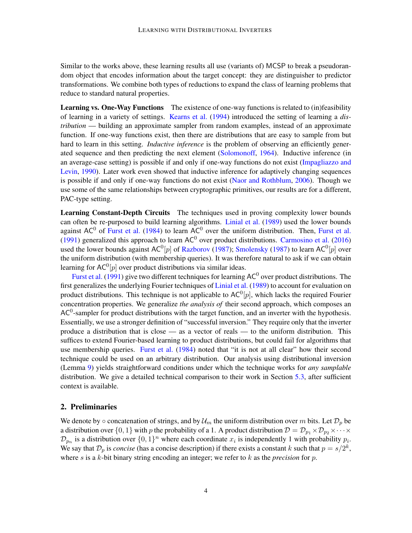Similar to the works above, these learning results all use (variants of) MCSP to break a pseudorandom object that encodes information about the target concept: they are distinguisher to predictor transformations. We combine both types of reductions to expand the class of learning problems that reduce to standard natural properties.

Learning vs. One-Way Functions The existence of one-way functions is related to (in)feasibility of learning in a variety of settings. [Kearns et al.](#page-14-4) [\(1994\)](#page-14-4) introduced the setting of learning a *distribution* — building an approximate sampler from random examples, instead of an approximate function. If one-way functions exist, then there are distributions that are easy to sample from but hard to learn in this setting. *Inductive inference* is the problem of observing an efficiently generated sequence and then predicting the next element [\(Solomonoff,](#page-16-2) [1964\)](#page-16-2). Inductive inference (in an average-case setting) is possible if and only if one-way functions do not exist [\(Impagliazzo and](#page-14-5) [Levin,](#page-14-5) [1990\)](#page-14-5). Later work even showed that inductive inference for adaptively changing sequences is possible if and only if one-way functions do not exist [\(Naor and Rothblum,](#page-15-8) [2006\)](#page-15-8). Though we use some of the same relationships between cryptographic primitives, our results are for a different, PAC-type setting.

Learning Constant-Depth Circuits The techniques used in proving complexity lower bounds can often be re-purposed to build learning algorithms. [Linial et al.](#page-14-6) [\(1989\)](#page-14-6) used the lower bounds against  $AC^0$  of [Furst et al.](#page-14-0) [\(1984\)](#page-14-7) to learn  $AC^0$  over the uniform distribution. Then, Furst et al. [\(1991\)](#page-14-0) generalized this approach to learn  $AC^0$  over product distributions. [Carmosino et al.](#page-13-1) [\(2016\)](#page-13-1) used the lower bounds against AC<sup>0</sup>[p] of [Razborov](#page-15-4) [\(1987\)](#page-15-5); [Smolensky](#page-15-5) (1987) to learn AC<sup>0</sup>[p] over the uniform distribution (with membership queries). It was therefore natural to ask if we can obtain learning for AC<sup>0</sup>[ $p$ ] over product distributions via similar ideas.

[Furst et al.](#page-14-0) [\(1991\)](#page-14-0) give two different techniques for learning  $AC^0$  over product distributions. The first generalizes the underlying Fourier techniques of [Linial et al.](#page-14-6) [\(1989\)](#page-14-6) to account for evaluation on product distributions. This technique is not applicable to  $AC^0[p]$ , which lacks the required Fourier concentration properties. We generalize *the analysis of* their second approach, which composes an  $AC<sup>0</sup>$ -sampler for product distributions with the target function, and an inverter with the hypothesis. Essentially, we use a stronger definition of "successful inversion." They require only that the inverter produce a distribution that is close — as a vector of reals — to the uniform distribution. This suffices to extend Fourier-based learning to product distributions, but could fail for algorithms that use membership queries. [Furst et al.](#page-14-7) [\(1984\)](#page-14-7) noted that "it is not at all clear" how their second technique could be used on an arbitrary distribution. Our analysis using distributional inversion (Lemma [9\)](#page-6-0) yields straightforward conditions under which the technique works for *any samplable* distribution. We give a detailed technical comparison to their work in Section [5.3,](#page-11-0) after sufficient context is available.

### 2. Preliminaries

We denote by  $\circ$  concatenation of strings, and by  $\mathcal{U}_m$  the uniform distribution over m bits. Let  $\mathcal{D}_p$  be a distribution over  $\{0, 1\}$  with p the probability of a 1. A product distribution  $\mathcal{D} = \mathcal{D}_{p_1} \times \mathcal{D}_{p_2} \times \cdots \times$  $\mathcal{D}_{p_n}$  is a distribution over  $\{0,1\}^n$  where each coordinate  $x_i$  is independently 1 with probability  $p_i$ . We say that  $\mathcal{D}_p$  is *concise* (has a concise description) if there exists a constant k such that  $p = s/2^k$ , where s is a k-bit binary string encoding an integer; we refer to  $k$  as the *precision* for  $p$ .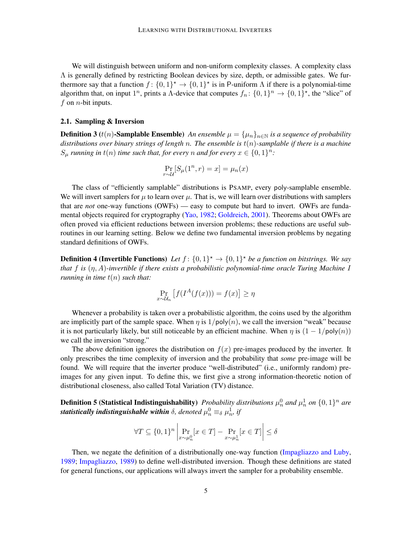We will distinguish between uniform and non-uniform complexity classes. A complexity class  $\Lambda$  is generally defined by restricting Boolean devices by size, depth, or admissible gates. We furthermore say that a function  $f: \{0,1\}^* \to \{0,1\}^*$  is in P-uniform  $\Lambda$  if there is a polynomial-time algorithm that, on input 1<sup>n</sup>, prints a  $\Lambda$ -device that computes  $f_n: \{0,1\}^n \to \{0,1\}^{\star}$ , the "slice" of f on *n*-bit inputs.

### <span id="page-4-0"></span>2.1. Sampling & Inversion

**Definition 3** (t(n)-**Samplable Ensemble**) *An ensemble*  $\mu = {\mu_n}_{n \in \mathbb{N}}$  *is a sequence of probability distributions over binary strings of length* n*. The ensemble is* t(n)*-samplable if there is a machine*  $S_{\mu}$  *running in*  $t(n)$  *time such that, for every n and for every*  $x \in \{0,1\}^n$ *:* 

$$
\Pr_{r \sim \mathcal{U}}[S_{\mu}(1^n, r) = x] = \mu_n(x)
$$

The class of "efficiently samplable" distributions is PSAMP, every poly-samplable ensemble. We will invert samplers for  $\mu$  to learn over  $\mu$ . That is, we will learn over distributions with samplers that are *not* one-way functions (OWFs) — easy to compute but hard to invert. OWFs are funda-mental objects required for cryptography [\(Yao,](#page-16-3) [1982;](#page-16-3) [Goldreich,](#page-14-8) [2001\)](#page-14-8). Theorems about OWFs are often proved via efficient reductions between inversion problems; these reductions are useful subroutines in our learning setting. Below we define two fundamental inversion problems by negating standard definitions of OWFs.

**Definition 4 (Invertible Functions)** Let  $f: \{0,1\}^{\star} \to \{0,1\}^{\star}$  be a function on bitstrings. We say *that* f *is* (η, A)*-invertible if there exists a probabilistic polynomial-time oracle Turing Machine* I *running in time*  $t(n)$  *such that:* 

$$
\Pr_{x \sim \mathcal{U}_n} \left[ f(I^A(f(x))) = f(x) \right] \ge \eta
$$

Whenever a probability is taken over a probabilistic algorithm, the coins used by the algorithm are implicitly part of the sample space. When  $\eta$  is  $1/poly(n)$ , we call the inversion "weak" because it is not particularly likely, but still noticeable by an efficient machine. When  $\eta$  is  $(1 - 1/\text{poly}(n))$ we call the inversion "strong."

The above definition ignores the distribution on  $f(x)$  pre-images produced by the inverter. It only prescribes the time complexity of inversion and the probability that *some* pre-image will be found. We will require that the inverter produce "well-distributed" (i.e., uniformly random) preimages for any given input. To define this, we first give a strong information-theoretic notion of distributional closeness, also called Total Variation (TV) distance.

**Definition 5 (Statistical Indistinguishability)** *Probability distributions*  $\mu_n^0$  and  $\mu_n^1$  on  $\{0,1\}^n$  are  $\textit{statistically }$  indistinguishable within  $\delta,$  denoted  $\mu_n^0 \equiv_\delta \mu_n^1, \, \textit{if}$ 

$$
\forall T \subseteq \{0,1\}^n \left| \Pr_{x \sim \mu_n^0}[x \in T] - \Pr_{x \sim \mu_n^1}[x \in T] \right| \le \delta
$$

<span id="page-4-1"></span>Then, we negate the definition of a distributionally one-way function [\(Impagliazzo and Luby,](#page-14-1) [1989;](#page-14-1) [Impagliazzo,](#page-14-9) [1989\)](#page-14-9) to define well-distributed inversion. Though these definitions are stated for general functions, our applications will always invert the sampler for a probability ensemble.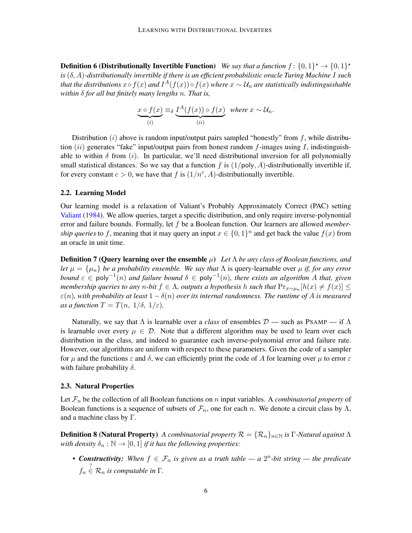**Definition 6 (Distributionally Invertible Function)** We say that a function  $f: \{0,1\}^{\star} \to \{0,1\}^{\star}$ *is* (δ, A)*-distributionally invertible if there is an efficient probabilistic oracle Turing Machine* I *such* that the distributions  $x \circ f(x)$  and  $I^A(f(x)) \circ f(x)$  where  $x \sim \mathcal{U}_n$  are statistically indistinguishable *within* δ *for all but finitely many lengths* n*. That is,*

$$
\underbrace{x \circ f(x)}_{(i)} \equiv_{\delta} \underbrace{I^{A}(f(x)) \circ f(x)}_{(ii)} \text{ where } x \sim \mathcal{U}_{n}.
$$

Distribution  $(i)$  above is random input/output pairs sampled "honestly" from f, while distribution  $(ii)$  generates "fake" input/output pairs from honest random f-images using I, indistinguishable to within  $\delta$  from (i). In particular, we'll need distributional inversion for all polynomially small statistical distances. So we say that a function f is  $(1/poly, A)$ -distributionally invertible if, for every constant  $c > 0$ , we have that f is  $(1/n^c, A)$ -distributionally invertible.

### 2.2. Learning Model

Our learning model is a relaxation of Valiant's Probably Approximately Correct (PAC) setting [Valiant](#page-16-1) [\(1984\)](#page-16-1). We allow queries, target a specific distribution, and only require inverse-polynomial error and failure bounds. Formally, let f be a Boolean function. Our learners are allowed *membership queries* to f, meaning that it may query an input  $x \in \{0,1\}^n$  and get back the value  $f(x)$  from an oracle in unit time.

<span id="page-5-0"></span>Definition 7 (Query learning over the ensemble µ) *Let* Λ *be any class of Boolean functions, and let*  $\mu = {\mu_n}$  *be a probability ensemble. We say that*  $\Lambda$  is query-learnable over  $\mu$  *if, for any error bound* ε ∈ poly−<sup>1</sup> (n) *and failure bound* δ ∈ poly−<sup>1</sup> (n)*, there exists an algorithm* A *that, given membership queries to any* n-bit  $f \in \Lambda$ , *outputs a hypothesis h such that*  $\Pr_{x \sim \mu_n}[h(x) \neq f(x)] \leq$  $\varepsilon(n)$ *, with probability at least*  $1 - \delta(n)$  *over its internal randomness. The runtime of A is measured as a function*  $T = T(n, 1/\delta, 1/\varepsilon)$ .

Naturally, we say that  $\Lambda$  is learnable over a *class* of ensembles  $\mathcal{D}$  — such as PSAMP — if  $\Lambda$ is learnable over every  $\mu \in \mathcal{D}$ . Note that a different algorithm may be used to learn over each distribution in the class, and indeed to guarantee each inverse-polynomial error and failure rate. However, our algorithms are uniform with respect to these parameters. Given the code of a sampler for  $\mu$  and the functions  $\varepsilon$  and  $\delta$ , we can efficiently print the code of A for learning over  $\mu$  to error  $\varepsilon$ with failure probability  $\delta$ .

#### 2.3. Natural Properties

Let  $\mathcal{F}_n$  be the collection of all Boolean functions on n input variables. A *combinatorial property* of Boolean functions is a sequence of subsets of  $\mathcal{F}_n$ , one for each n. We denote a circuit class by  $\Lambda$ , and a machine class by  $\Gamma$ .

**Definition 8 (Natural Property)** *A combinatorial property*  $\mathcal{R} = {\mathcal{R}_n}_{n \in \mathbb{N}}$  *is* Γ-Natural against Λ *with density*  $\delta_n : \mathbb{N} \to [0,1]$  *if it has the following properties:* 

• **Constructivity:** When  $f \in \mathcal{F}_n$  is given as a truth table — a  $2^n$ -bit string — the predicate  $f_n \stackrel{?}{\in} \mathcal{R}_n$  is computable in  $\Gamma$ .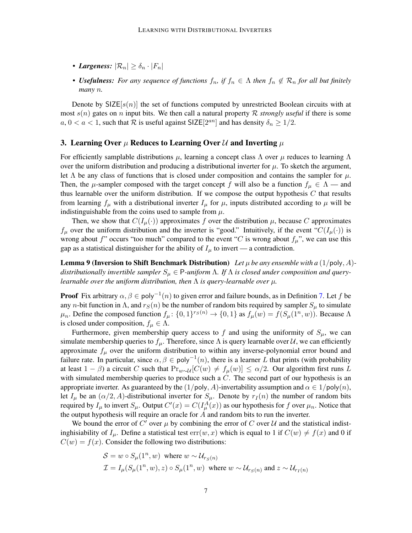- *Largeness:*  $|\mathcal{R}_n| \geq \delta_n \cdot |F_n|$
- **Usefulness:** For any sequence of functions  $f_n$ , if  $f_n \in \Lambda$  then  $f_n \notin \mathcal{R}_n$  for all but finitely *many* n*.*

Denote by  $SIZE[s(n)]$  the set of functions computed by unrestricted Boolean circuits with at most  $s(n)$  gates on n input bits. We then call a natural property R *strongly useful* if there is some  $a, 0 < a < 1$ , such that R is useful against SIZE[2<sup>an</sup>] and has density  $\delta_n \geq 1/2$ .

## 3. Learning Over  $\mu$  Reduces to Learning Over  $\mathcal U$  and Inverting  $\mu$

For efficiently samplable distributions  $\mu$ , learning a concept class  $\Lambda$  over  $\mu$  reduces to learning  $\Lambda$ over the uniform distribution and producing a distributional inverter for  $\mu$ . To sketch the argument, let  $\Lambda$  be any class of functions that is closed under composition and contains the sampler for  $\mu$ . Then, the  $\mu$ -sampler composed with the target concept f will also be a function  $f_{\mu} \in \Lambda$  — and thus learnable over the uniform distribution. If we compose the output hypothesis  $C$  that results from learning  $f_\mu$  with a distributional inverter  $I_\mu$  for  $\mu$ , inputs distributed according to  $\mu$  will be indistinguishable from the coins used to sample from  $\mu$ .

Then, we show that  $C(I_{\mu}(\cdot))$  approximates f over the distribution  $\mu$ , because C approximates  $f_{\mu}$  over the uniform distribution and the inverter is "good." Intuitively, if the event " $C(I_{\mu}(\cdot))$  is wrong about f" occurs "too much" compared to the event "C is wrong about  $f_\mu$ ", we can use this gap as a statistical distinguisher for the ability of  $I_\mu$  to invert — a contradiction.

<span id="page-6-0"></span>**Lemma 9 (Inversion to Shift Benchmark Distribution)** Let  $\mu$  be any ensemble with a  $(1/\text{poly}, A)$ distributionally invertible sampler  $S_\mu \in \mathsf{P}\text{-uniform} \Lambda$ . If  $\Lambda$  is closed under composition and query*learnable over the uniform distribution, then* Λ *is query-learnable over* µ*.*

**Proof** Fix arbitrary  $\alpha, \beta \in \text{poly}^{-1}(n)$  to given error and failure bounds, as in Definition [7.](#page-5-0) Let f be any *n*-bit function in  $\Lambda$ , and  $r_S(n)$  be the number of random bits required by sampler  $S_\mu$  to simulate  $\mu_n$ . Define the composed function  $f_\mu: \{0,1\}^{rs(n)} \to \{0,1\}$  as  $f_\mu(w) = f(S_\mu(1^n, w))$ . Because  $\Lambda$ is closed under composition,  $f_{\mu} \in \Lambda$ .

Furthermore, given membership query access to f and using the uniformity of  $S_{\mu}$ , we can simulate membership queries to  $f_\mu$ . Therefore, since  $\Lambda$  is query learnable over  $\mathcal{U}$ , we can efficiently approximate  $f_{\mu}$  over the uniform distribution to within any inverse-polynomial error bound and failure rate. In particular, since  $\alpha, \beta \in \text{poly}^{-1}(n)$ , there is a learner L that prints (with probability at least  $1 - \beta$ ) a circuit C such that  $Pr_{w \sim \mathcal{U}}[C(w) \neq f_{\mu}(w)] \leq \alpha/2$ . Our algorithm first runs L with simulated membership queries to produce such a  $C$ . The second part of our hypothesis is an appropriate inverter. As guaranteed by the  $(1/\text{poly}, A)$ -invertability assumption and  $\alpha \in 1/\text{poly}(n)$ , let  $I_{\mu}$  be an  $(\alpha/2, A)$ -distributional inverter for  $S_{\mu}$ . Denote by  $r_I(n)$  the number of random bits required by  $I_\mu$  to invert  $S_\mu$ . Output  $C'(x) = C(I_\mu^A(x))$  as our hypothesis for f over  $\mu_n$ . Notice that the output hypothesis will require an oracle for  $A$  and random bits to run the inverter.

We bound the error of C' over  $\mu$  by combining the error of C over U and the statistical indistinghisiability of  $I_\mu$ . Define a statistical test  $err(w, x)$  which is equal to 1 if  $C(w) \neq f(x)$  and 0 if  $C(w) = f(x)$ . Consider the following two distributions:

$$
\mathcal{S} = w \circ S_{\mu}(1^n, w) \text{ where } w \sim \mathcal{U}_{r_S(n)}
$$
  

$$
\mathcal{I} = I_{\mu}(S_{\mu}(1^n, w), z) \circ S_{\mu}(1^n, w) \text{ where } w \sim \mathcal{U}_{r_S(n)} \text{ and } z \sim \mathcal{U}_{r_I(n)}
$$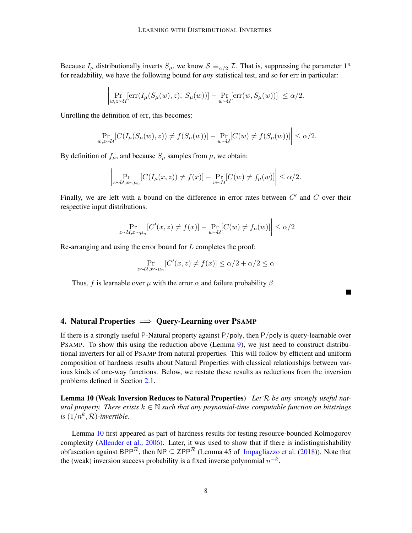Because  $I_\mu$  distributionally inverts  $S_\mu$ , we know  $\mathcal{S} \equiv_{\alpha/2} \mathcal{I}$ . That is, suppressing the parameter  $1^n$ for readability, we have the following bound for *any* statistical test, and so for err in particular:

$$
\left| \Pr_{w,z \sim \mathcal{U}}[\text{err}(I_{\mu}(S_{\mu}(w), z), S_{\mu}(w))] - \Pr_{w \sim \mathcal{U}}[\text{err}(w, S_{\mu}(w))] \right| \le \alpha/2.
$$

Unrolling the definition of err, this becomes:

$$
\left| \Pr_{w,z \sim \mathcal{U}}[C(I_{\mu}(S_{\mu}(w), z)) \neq f(S_{\mu}(w))] - \Pr_{w \sim \mathcal{U}}[C(w) \neq f(S_{\mu}(w))] \right| \leq \alpha/2.
$$

By definition of  $f_{\mu}$ , and because  $S_{\mu}$  samples from  $\mu$ , we obtain:

$$
\left| \Pr_{z \sim \mathcal{U}, x \sim \mu_n} [C(I_\mu(x, z)) \neq f(x)] - \Pr_{w \sim \mathcal{U}} [C(w) \neq f_\mu(w)] \right| \leq \alpha/2.
$$

Finally, we are left with a bound on the difference in error rates between  $C'$  and  $C$  over their respective input distributions.

$$
\left| \Pr_{z \sim \mathcal{U}, x \sim \mu_n} [C'(x, z) \neq f(x)] - \Pr_{w \sim \mathcal{U}} [C(w) \neq f_{\mu}(w)] \right| \le \alpha/2
$$

Re-arranging and using the error bound for L completes the proof:

$$
\Pr_{z \sim \mathcal{U}, x \sim \mu_n} [C'(x, z) \neq f(x)] \le \alpha/2 + \alpha/2 \le \alpha
$$

Thus, f is learnable over  $\mu$  with the error  $\alpha$  and failure probability  $\beta$ .

П

# 4. Natural Properties  $\implies$  Query-Learning over PSAMP

If there is a strongly useful P-Natural property against  $P/poly$ , then  $P/poly$  is query-learnable over PSAMP. To show this using the reduction above (Lemma [9\)](#page-6-0), we just need to construct distributional inverters for all of PSAMP from natural properties. This will follow by efficient and uniform composition of hardness results about Natural Properties with classical relationships between various kinds of one-way functions. Below, we restate these results as reductions from the inversion problems defined in Section [2.1.](#page-4-0)

<span id="page-7-0"></span>Lemma 10 (Weak Inversion Reduces to Natural Properties) *Let* R *be any strongly useful natural property. There exists*  $k \in \mathbb{N}$  *such that any poynomial-time computable function on bitstrings* is  $(1/n^k, \mathcal{R})$ -invertible.

<span id="page-7-1"></span>Lemma [10](#page-7-0) first appeared as part of hardness results for testing resource-bounded Kolmogorov complexity [\(Allender et al.,](#page-13-2) [2006\)](#page-13-2). Later, it was used to show that if there is indistinguishability obfuscation against BPP<sup>R</sup>, then NP  $\subseteq$  ZPP<sup>R</sup> (Lemma 45 of [Impagliazzo et al.](#page-14-2) [\(2018\)](#page-14-2)). Note that the (weak) inversion success probability is a fixed inverse polynomial  $n^{-k}$ .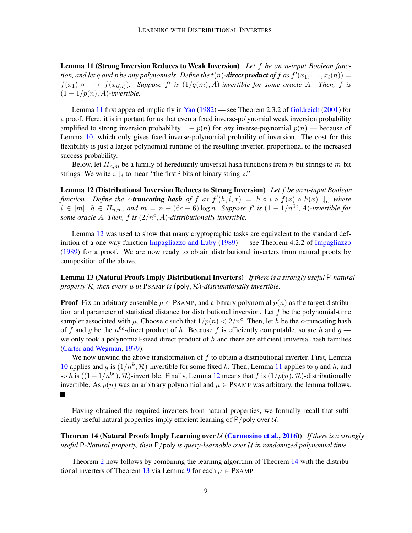Lemma 11 (Strong Inversion Reduces to Weak Inversion) *Let* f *be an* n*-input Boolean function, and let* q and p *be any polynomials. Define the*  $t(n)$ -*direct product of* f as  $f'(x_1, \ldots, x_t(n)) =$  $f(x_1) \circ \cdots \circ f(x_{t(n)})$ . Suppose  $f'$  is  $(1/q(m), A)$ -invertible for some oracle A. Then, f is  $(1 - 1/p(n), A)$ -invertible.

Lemma [11](#page-7-1) first appeared implicitly in [Yao](#page-16-3) [\(1982\)](#page-16-3) — see Theorem 2.3.2 of [Goldreich](#page-14-8) [\(2001\)](#page-14-8) for a proof. Here, it is important for us that even a fixed inverse-polynomial weak inversion probability amplified to strong inversion probability  $1 - p(n)$  for *any* inverse-poynomial  $p(n)$  — because of Lemma [10,](#page-7-0) which only gives fixed inverse-polynomial probaility of inversion. The cost for this flexibility is just a larger polynomial runtime of the resulting inverter, proportional to the increased success probability.

Below, let  $H_{n,m}$  be a family of hereditarily universal hash functions from *n*-bit strings to *m*-bit strings. We write  $z \downharpoonright_i$  to mean "the first i bits of binary string z."

<span id="page-8-0"></span>Lemma 12 (Distributional Inversion Reduces to Strong Inversion) *Let* f *be an* n*-input Boolean function.* Define the c-*truncating hash* of f as  $f'(h, i, x) = h \circ i \circ f(x) \circ h(x) \downharpoonright_i$ , where  $i \in [m]$ ,  $h \in H_{n,m}$ , and  $m = n + (6c + 6) \log n$ . Suppose  $f'$  is  $(1 - 1/n^{6c}, A)$ -invertible for *some oracle A. Then,*  $f$  *is*  $(2/n^c, A)$ -distributionally invertible.

Lemma [12](#page-8-0) was used to show that many cryptographic tasks are equivalent to the standard definition of a one-way function [Impagliazzo and Luby](#page-14-1) [\(1989\)](#page-14-1) — see Theorem 4.2.2 of [Impagliazzo](#page-14-9) [\(1989\)](#page-14-9) for a proof. We are now ready to obtain distributional inverters from natural proofs by composition of the above.

<span id="page-8-2"></span>Lemma 13 (Natural Proofs Imply Distributional Inverters) *If there is a strongly useful* P*-natural property*  $R$ *, then every*  $\mu$  *in* PSAMP *is* (poly,  $R$ )*-distributionally invertible.* 

**Proof** Fix an arbitrary ensemble  $\mu \in P$ SAMP, and arbitrary polynomial  $p(n)$  as the target distribution and parameter of statistical distance for distributional inversion. Let  $f$  be the polynomial-time sampler associated with  $\mu$ . Choose c such that  $1/p(n) < 2/n^c$ . Then, let h be the c-truncating hash of f and g be the  $n^{6c}$ -direct product of h. Because f is efficiently computable, so are h and g we only took a polynomial-sized direct product of  $h$  and there are efficient universal hash families [\(Carter and Wegman,](#page-13-5) [1979\)](#page-13-5).

We now unwind the above transformation of  $f$  to obtain a distributional inverter. First, Lemma [10](#page-7-0) applies and g is  $(1/n^k, \mathcal{R})$ -invertible for some fixed k. Then, Lemma [11](#page-7-1) applies to g and h, and so h is  $((1 - 1/n^{6c}), \mathcal{R})$ -invertible. Finally, Lemma [12](#page-8-0) means that f is  $(1/p(n), \mathcal{R})$ -distributionally invertible. As  $p(n)$  was an arbitrary polynomial and  $\mu \in P$ SAMP was arbitrary, the lemma follows.  $\blacksquare$ 

Having obtained the required inverters from natural properties, we formally recall that sufficiently useful natural properties imply efficient learning of  $P/poly$  over  $U$ .

<span id="page-8-1"></span>Theorem 14 (Natural Proofs Imply Learning over U [\(Carmosino et al.,](#page-13-1) [2016\)](#page-13-1)) *If there is a strongly useful* P*-Natural property, then* P/poly *is query-learnable over* U *in randomized polynomial time.*

Theorem [2](#page-1-0) now follows by combining the learning algorithm of Theorem [14](#page-8-1) with the distribu-tional inverters of Theorem [13](#page-8-2) via Lemma [9](#page-6-0) for each  $\mu \in P$ SAMP.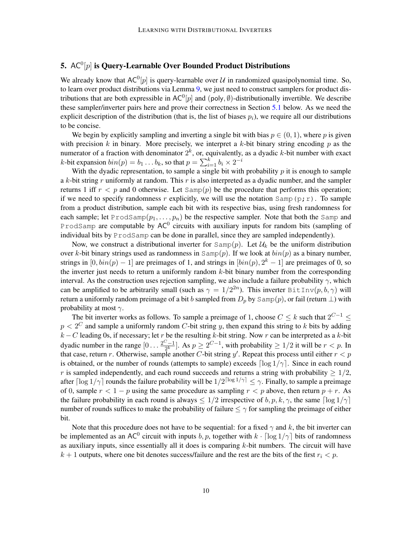# 5.  $\mathsf{AC}^0[p]$  is Query-Learnable Over Bounded Product Distributions

We already know that AC<sup>0</sup>[p] is query-learnable over U in randomized quasipolynomial time. So, to learn over product distributions via Lemma [9,](#page-6-0) we just need to construct samplers for product distributions that are both expressible in  $AC^0[p]$  and (poly,  $\emptyset$ )-distributionally invertible. We describe these sampler/inverter pairs here and prove their correctness in Section [5.1](#page-10-0) below. As we need the explicit description of the distribution (that is, the list of biases  $p_i$ ), we require all our distributions to be concise.

We begin by explicitly sampling and inverting a single bit with bias  $p \in (0, 1)$ , where p is given with precision  $k$  in binary. More precisely, we interpret a  $k$ -bit binary string encoding  $p$  as the numerator of a fraction with denominator  $2^k$ , or, equivalently, as a dyadic k-bit number with exact *k*-bit expansion  $\mathit{bin}(p) = b_1 \dots b_k$ , so that  $p = \sum_{i=1}^k b_i \times 2^{-i}$ 

With the dyadic representation, to sample a single bit with probability  $p$  it is enough to sample a k-bit string r uniformly at random. This r is also interpreted as a dyadic number, and the sampler returns 1 iff  $r < p$  and 0 otherwise. Let  $Samp(p)$  be the procedure that performs this operation; if we need to specify randomness r explicitly, we will use the notation  $Samp(p; r)$ . To sample from a product distribution, sample each bit with its respective bias, using fresh randomness for each sample; let ProdSamp $(p_1, \ldots, p_n)$  be the respective sampler. Note that both the Samp and ProdSamp are computable by  $AC^0$  circuits with auxiliary inputs for random bits (sampling of individual bits by ProdSamp can be done in parallel, since they are sampled independently).

Now, we construct a distributional inverter for  $Samp(p)$ . Let  $\mathcal{U}_k$  be the uniform distribution over k-bit binary strings used as randomness in  $Samp(p)$ . If we look at  $bin(p)$  as a binary number, strings in  $[0, bin(p) - 1]$  are preimages of 1, and strings in  $[bin(p), 2<sup>k</sup> - 1]$  are preimages of 0, so the inverter just needs to return a uniformly random k-bit binary number from the corresponding interval. As the construction uses rejection sampling, we also include a failure probability  $\gamma$ , which can be amplified to be arbitrarily small (such as  $\gamma = 1/2^{2n}$ ). This inverter BitInv $(p, b, \gamma)$  will return a uniformly random preimage of a bit b sampled from  $D_p$  by Samp(p), or fail (return  $\perp$ ) with probability at most  $\gamma$ .

The bit inverter works as follows. To sample a preimage of 1, choose  $C \leq k$  such that  $2^{C-1} \leq$  $p < 2^C$  and sample a uniformly random C-bit string y, then expand this string to k bits by adding  $k - C$  leading 0s, if necessary; let r be the resulting k-bit string. Now r can be interpreted as a k-bit dyadic number in the range  $[0 \dots \frac{2^{C}-1}{2^{k}}]$  $\frac{2^{j}-1}{2^{k}}$ . As  $p \ge 2^{C-1}$ , with probability  $\ge 1/2$  it will be  $r < p$ . In that case, return r. Otherwise, sample another C-bit string y'. Repeat this process until either  $r < p$ is obtained, or the number of rounds (attempts to sample) exceeds  $\lceil \log 1/\gamma \rceil$ . Since in each round r is sampled independently, and each round succeeds and returns a string with probability  $\geq 1/2$ , after  $\lceil \log 1/\gamma \rceil$  rounds the failure probability will be  $1/2^{\lceil \log 1/\gamma \rceil} \leq \gamma$ . Finally, to sample a preimage of 0, sample  $r < 1 - p$  using the same procedure as sampling  $r < p$  above, then return  $p + r$ . As the failure probability in each round is always  $\leq 1/2$  irrespective of  $b, p, k, \gamma$ , the same  $\lceil \log 1/\gamma \rceil$ number of rounds suffices to make the probability of failure  $\leq \gamma$  for sampling the preimage of either bit.

Note that this procedure does not have to be sequential: for a fixed  $\gamma$  and k, the bit inverter can be implemented as an AC<sup>0</sup> circuit with inputs b, p, together with  $k \cdot \lceil \log 1/\gamma \rceil$  bits of randomness as auxiliary inputs, since essentially all it does is comparing  $k$ -bit numbers. The circuit will have  $k + 1$  outputs, where one bit denotes success/failure and the rest are the bits of the first  $r_i < p$ .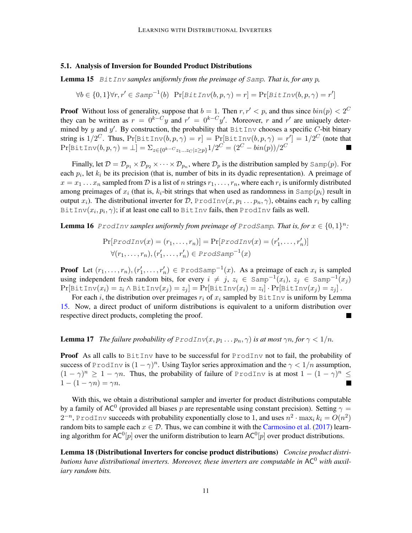### <span id="page-10-0"></span>5.1. Analysis of Inversion for Bounded Product Distributions

<span id="page-10-1"></span>Lemma 15 BitInv *samples uniformly from the preimage of* Samp*. That is, for any* p*,*

$$
\forall b \in \{0, 1\} \forall r, r' \in \text{Samp}^{-1}(b) \text{ Pr}[\text{BitInv}(b, p, \gamma) = r] = \text{Pr}[\text{BitInv}(b, p, \gamma) = r']
$$

**Proof** Without loss of generality, suppose that  $b = 1$ . Then  $r, r' < p$ , and thus since  $\frac{bin(p)}{2} < 2^C$ they can be written as  $r = 0^{k-C}y$  and  $r' = 0^{k-C}y'$ . Moreover, r and r' are uniquely determined by y and y'. By construction, the probability that  $B$ itInv chooses a specific C-bit binary string is  $1/2^C$ . Thus,  $\Pr[\text{BitInv}(b,p,\gamma)=r]=\Pr[\text{BitInv}(b,p,\gamma)=r']=1/2^C$  (note that  $\Pr[\texttt{BitInv}(b, p, \gamma) = \bot] = \sum_{z \in \{0^{k-C}z_1...z_C | z \geq p\}} 1/2^C = (2^C - bin(p))/2^C$ 

Finally, let  $D = D_{p_1} \times D_{p_2} \times \cdots \times D_{p_n}$ , where  $D_p$  is the distribution sampled by  $\text{Samp}(p)$ . For each  $p_i$ , let  $k_i$  be its precision (that is, number of bits in its dyadic representation). A preimage of  $x = x_1 \dots x_n$  sampled from  $D$  is a list of n strings  $r_1, \dots, r_n$ , where each  $r_i$  is uniformly distributed among preimages of  $x_i$  (that is,  $k_i$ -bit strings that when used as randomness in  $\text{Samp}(p_i)$  result in output  $x_i$ ). The distributional inverter for D, ProdInv $(x, p_1 \ldots p_n, \gamma)$ , obtains each  $r_i$  by calling BitInv $(x_i, p_i, \gamma)$ ; if at least one call to <code>BitInv</code> fails, then <code>ProdInv</code> fails as well.

**Lemma 16** ProdInv samples uniformly from preimage of ProdSamp. That is, for  $x \in \{0,1\}^n$ :

$$
\Pr[Product(n, ..., r_n)] = \Pr[Product(n, ..., r'_n)]
$$
  

$$
\forall (r_1, ..., r_n), (r'_1, ..., r'_n) \in \text{Prodsamp}^{-1}(x)
$$

**Proof** Let  $(r_1, \ldots, r_n)$ ,  $(r'_1, \ldots, r'_n) \in \text{ProdSamp}^{-1}(x)$ . As a preimage of each  $x_i$  is sampled using independent fresh random bits, for every  $i \neq j$ ,  $z_i \in \text{Samp}^{-1}(x_i)$ ,  $z_j \in \text{Samp}^{-1}(x_j)$  $\Pr[\texttt{BitInv}(x_i) = z_i \land \texttt{BitInv}(x_j) = z_j] = \Pr[\texttt{BitInv}(x_i) = z_i] \cdot \Pr[\texttt{BitInv}(x_j) = z_j]$ .

For each i, the distribution over preimages  $r_i$  of  $x_i$  sampled by BitInv is uniform by Lemma [15.](#page-10-1) Now, a direct product of uniform distributions is equivalent to a uniform distribution over respective direct products, completing the proof.

**Lemma 17** *The failure probability of ProdInv* $(x, p_1 \dots p_n, \gamma)$  *is at most*  $\gamma n$ *, for*  $\gamma < 1/n$ *.* 

**Proof** As all calls to  $BitInv$  have to be successful for  $ProdInv$  not to fail, the probability of success of ProdInv is  $(1 - \gamma)^n$ . Using Taylor series approximation and the  $\gamma < 1/n$  assumption,  $(1 - \gamma)^n \geq 1 - \gamma n$ . Thus, the probability of failure of ProdInv is at most  $1 - (1 - \gamma)^n \leq$  $1-(1-\gamma n)=\gamma n$ .  $\blacksquare$ 

With this, we obtain a distributional sampler and inverter for product distributions computable by a family of AC<sup>0</sup> (provided all biases p are representable using constant precision). Setting  $\gamma =$  $2^{-n}$ , ProdInv succeeds with probability exponentially close to 1, and uses  $n^2 \cdot \max_i k_i = O(n^2)$ random bits to sample each  $x \in \mathcal{D}$ . Thus, we can combine it with the [Carmosino et al.](#page-13-4) [\(2017\)](#page-13-4) learning algorithm for AC<sup>0</sup>[p] over the uniform distribution to learn AC<sup>0</sup>[p] over product distributions.

<span id="page-10-2"></span>Lemma 18 (Distributional Inverters for concise product distributions) *Concise product distributions have distributional inverters. Moreover, these inverters are computable in* AC<sup>0</sup> *with auxiliary random bits.*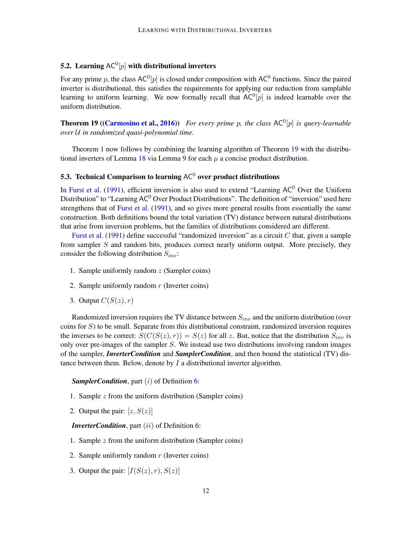# 5.2. Learning  $\mathsf{AC}^0[p]$  with distributional inverters

For any prime p, the class AC<sup>0</sup>[p] is closed under composition with AC<sup>0</sup> functions. Since the paired inverter is distributional, this satisfies the requirements for applying our reduction from samplable learning to uniform learning. We now formally recall that  $AC^0[p]$  is indeed learnable over the uniform distribution.

<span id="page-11-1"></span>**Theorem 19 ([\(Carmosino et al.,](#page-13-1) [2016\)](#page-13-1))** For every prime p, the class AC<sup>0</sup>[p] is query-learnable *over* U *in randomized quasi-polynomial time.*

Theorem [1](#page-1-1) now follows by combining the learning algorithm of Theorem [19](#page-11-1) with the distribu-tional inverters of Lemma [18](#page-10-2) via Lemma [9](#page-6-0) for each  $\mu$  a concise product distribution.

# <span id="page-11-0"></span>5.3. Technical Comparison to learning AC $^0$  over product distributions

In [Furst et al.](#page-14-0) [\(1991\)](#page-14-0), efficient inversion is also used to extend "Learning  $AC^0$  Over the Uniform Distribution" to "Learning  $AC^0$  Over Product Distributions". The definition of "inversion" used here strengthens that of [Furst et al.](#page-14-0) [\(1991\)](#page-14-0), and so gives more general results from essentially the same construction. Both definitions bound the total variation (TV) distance between natural distributions that arise from inversion problems, but the families of distributions considered are different.

[Furst et al.](#page-14-0) [\(1991\)](#page-14-0) define successful "randomized inversion" as a circuit  $C$  that, given a sample from sampler S and random bits, produces correct nearly uniform output. More precisely, they consider the following distribution  $S_{inv}$ :

- 1. Sample uniformly random  $z$  (Sampler coins)
- 2. Sample uniformly random  $r$  (Inverter coins)
- 3. Output  $C(S(z), r)$

Randomized inversion requires the TV distance between  $S_{inv}$  and the uniform distribution (over coins for  $S$ ) to be small. Separate from this distributional constraint, randomized inversion requires the inverses to be correct:  $S(C(S(z), r)) = S(z)$  for all z. But, notice that the distribution  $S_{inv}$  is only over pre-images of the sampler S. We instead use two distributions involving random images of the sampler, *InverterCondition* and *SamplerCondition*, and then bound the statistical (TV) distance between them. Below, denote by  $I$  a distributional inverter algorithm.

### *SamplerCondition*, part (*i*) of Definition [6:](#page-4-1)

- 1. Sample z from the uniform distribution (Sampler coins)
- 2. Output the pair:  $[z, S(z)]$

*InverterCondition*, part (*ii*) of Definition [6:](#page-4-1)

- 1. Sample  $z$  from the uniform distribution (Sampler coins)
- 2. Sample uniformly random  $r$  (Inverter coins)
- 3. Output the pair:  $[I(S(z), r), S(z)]$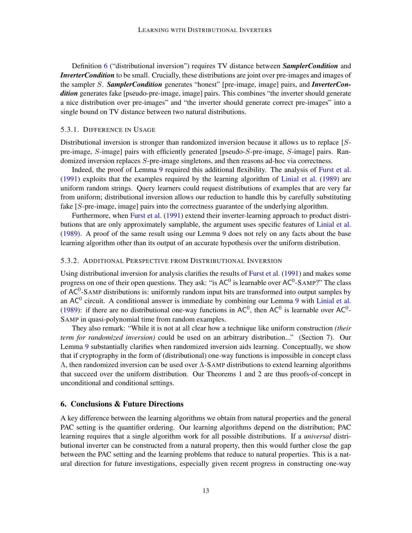Definition [6](#page-4-1) ("distributional inversion") requires TV distance between *SamplerCondition* and *InverterCondition* to be small. Crucially, these distributions are joint over pre-images and images of the sampler S. *SamplerCondition* generates "honest" [pre-image, image] pairs, and *InverterCondition* generates fake [pseudo-pre-image, image] pairs. This combines "the inverter should generate a nice distribution over pre-images" and "the inverter should generate correct pre-images" into a single bound on TV distance between two natural distributions.

#### 5.3.1. DIFFERENCE IN USAGE

Distributional inversion is stronger than randomized inversion because it allows us to replace [Spre-image, S-image] pairs with efficiently generated [pseudo-S-pre-image, S-image] pairs. Randomized inversion replaces S-pre-image singletons, and then reasons ad-hoc via correctness.

Indeed, the proof of Lemma [9](#page-6-0) required this additional flexibility. The analysis of [Furst et al.](#page-14-0) [\(1991\)](#page-14-0) exploits that the examples required by the learning algorithm of [Linial et al.](#page-14-6) [\(1989\)](#page-14-6) are uniform random strings. Query learners could request distributions of examples that are very far from uniform; distributional inversion allows our reduction to handle this by carefully substituting fake [S-pre-image, image] pairs into the correctness guarantee of the underlying algorithm.

Furthermore, when [Furst et al.](#page-14-0) [\(1991\)](#page-14-0) extend their inverter-learning approach to product distributions that are only approximately samplable, the argument uses specific features of [Linial et al.](#page-14-6) [\(1989\)](#page-14-6). A proof of the same result using our Lemma [9](#page-6-0) does not rely on any facts about the base learning algorithm other than its output of an accurate hypothesis over the uniform distribution.

#### 5.3.2. ADDITIONAL PERSPECTIVE FROM DISTRIBUTIONAL INVERSION

Using distributional inversion for analysis clarifies the results of [Furst et al.](#page-14-0) [\(1991\)](#page-14-0) and makes some progress on one of their open questions. They ask: "is AC<sup>0</sup> is learnable over AC<sup>0</sup>-SAMP?" The class of AC<sup>0</sup>-SAMP distributions is: uniformly random input bits are transformed into output samples by an  $AC<sup>0</sup>$  circuit. A conditional answer is immediate by combining our Lemma [9](#page-6-0) with [Linial et al.](#page-14-6) [\(1989\)](#page-14-6): if there are no distributional one-way functions in  $AC^0$ , then  $AC^0$  is learnable over  $AC^0$ -SAMP in quasi-polynomial time from random examples.

They also remark: "While it is not at all clear how a technique like uniform construction *(their term for randomized inversion)* could be used on an arbitrary distribution..." (Section 7). Our Lemma [9](#page-6-0) substantially clarifies when randomized inversion aids learning. Conceptually, we show that if cryptography in the form of (distributional) one-way functions is impossible in concept class Λ, then randomized inversion can be used over Λ-SAMP distributions to extend learning algorithms that succeed over the uniform distribution. Our Theorems 1 and 2 are thus proofs-of-concept in unconditional and conditional settings.

## 6. Conclusions & Future Directions

A key difference between the learning algorithms we obtain from natural properties and the general PAC setting is the quantifier ordering. Our learning algorithms depend on the distribution; PAC learning requires that a single algorithm work for all possible distributions. If a *universal* distributional inverter can be constructed from a natural property, then this would further close the gap between the PAC setting and the learning problems that reduce to natural properties. This is a natural direction for future investigations, especially given recent progress in constructing one-way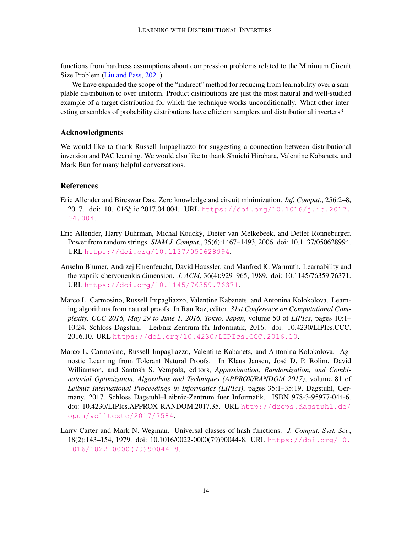functions from hardness assumptions about compression problems related to the Minimum Circuit Size Problem [\(Liu and Pass,](#page-15-9) [2021\)](#page-15-9).

We have expanded the scope of the "indirect" method for reducing from learnability over a samplable distribution to over uniform. Product distributions are just the most natural and well-studied example of a target distribution for which the technique works unconditionally. What other interesting ensembles of probability distributions have efficient samplers and distributional inverters?

# Acknowledgments

We would like to thank Russell Impagliazzo for suggesting a connection between distributional inversion and PAC learning. We would also like to thank Shuichi Hirahara, Valentine Kabanets, and Mark Bun for many helpful conversations.

## References

- <span id="page-13-3"></span>Eric Allender and Bireswar Das. Zero knowledge and circuit minimization. *Inf. Comput.*, 256:2–8, 2017. doi: 10.1016/j.ic.2017.04.004. URL [https://doi.org/10.1016/j.ic.2017.](https://doi.org/10.1016/j.ic.2017.04.004) [04.004](https://doi.org/10.1016/j.ic.2017.04.004).
- <span id="page-13-2"></span>Eric Allender, Harry Buhrman, Michal Koucky, Dieter van Melkebeek, and Detlef Ronneburger. ´ Power from random strings. *SIAM J. Comput.*, 35(6):1467–1493, 2006. doi: 10.1137/050628994. URL <https://doi.org/10.1137/050628994>.
- <span id="page-13-0"></span>Anselm Blumer, Andrzej Ehrenfeucht, David Haussler, and Manfred K. Warmuth. Learnability and the vapnik-chervonenkis dimension. *J. ACM*, 36(4):929–965, 1989. doi: 10.1145/76359.76371. URL <https://doi.org/10.1145/76359.76371>.
- <span id="page-13-1"></span>Marco L. Carmosino, Russell Impagliazzo, Valentine Kabanets, and Antonina Kolokolova. Learning algorithms from natural proofs. In Ran Raz, editor, *31st Conference on Computational Complexity, CCC 2016, May 29 to June 1, 2016, Tokyo, Japan*, volume 50 of *LIPIcs*, pages 10:1– 10:24. Schloss Dagstuhl - Leibniz-Zentrum für Informatik, 2016. doi: 10.4230/LIPIcs.CCC. 2016.10. URL <https://doi.org/10.4230/LIPIcs.CCC.2016.10>.
- <span id="page-13-4"></span>Marco L. Carmosino, Russell Impagliazzo, Valentine Kabanets, and Antonina Kolokolova. Agnostic Learning from Tolerant Natural Proofs. In Klaus Jansen, Jose D. P. Rolim, David ´ Williamson, and Santosh S. Vempala, editors, *Approximation, Randomization, and Combinatorial Optimization. Algorithms and Techniques (APPROX/RANDOM 2017)*, volume 81 of *Leibniz International Proceedings in Informatics (LIPIcs)*, pages 35:1–35:19, Dagstuhl, Germany, 2017. Schloss Dagstuhl–Leibniz-Zentrum fuer Informatik. ISBN 978-3-95977-044-6. doi: 10.4230/LIPIcs.APPROX-RANDOM.2017.35. URL [http://drops.dagstuhl.de/](http://drops.dagstuhl.de/opus/volltexte/2017/7584) [opus/volltexte/2017/7584](http://drops.dagstuhl.de/opus/volltexte/2017/7584).
- <span id="page-13-5"></span>Larry Carter and Mark N. Wegman. Universal classes of hash functions. *J. Comput. Syst. Sci.*, 18(2):143–154, 1979. doi: 10.1016/0022-0000(79)90044-8. URL [https://doi.org/10.](https://doi.org/10.1016/0022-0000(79)90044-8) [1016/0022-0000\(79\)90044-8](https://doi.org/10.1016/0022-0000(79)90044-8).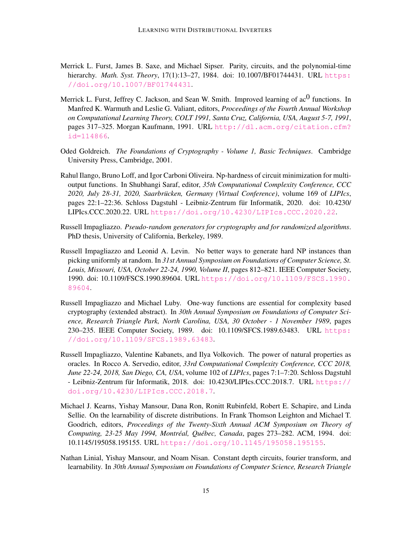- <span id="page-14-7"></span>Merrick L. Furst, James B. Saxe, and Michael Sipser. Parity, circuits, and the polynomial-time hierarchy. *Math. Syst. Theory*, 17(1):13–27, 1984. doi: 10.1007/BF01744431. URL [https:](https://doi.org/10.1007/BF01744431) [//doi.org/10.1007/BF01744431](https://doi.org/10.1007/BF01744431).
- <span id="page-14-0"></span>Merrick L. Furst, Jeffrey C. Jackson, and Sean W. Smith. Improved learning of  $ac^0$  functions. In Manfred K. Warmuth and Leslie G. Valiant, editors, *Proceedings of the Fourth Annual Workshop on Computational Learning Theory, COLT 1991, Santa Cruz, California, USA, August 5-7, 1991*, pages 317–325. Morgan Kaufmann, 1991. URL [http://dl.acm.org/citation.cfm?](http://dl.acm.org/citation.cfm?id=114866) [id=114866](http://dl.acm.org/citation.cfm?id=114866).
- <span id="page-14-8"></span>Oded Goldreich. *The Foundations of Cryptography - Volume 1, Basic Techniques*. Cambridge University Press, Cambridge, 2001.
- <span id="page-14-3"></span>Rahul Ilango, Bruno Loff, and Igor Carboni Oliveira. Np-hardness of circuit minimization for multioutput functions. In Shubhangi Saraf, editor, *35th Computational Complexity Conference, CCC 2020, July 28-31, 2020, Saarbrucken, Germany (Virtual Conference) ¨* , volume 169 of *LIPIcs*, pages 22:1–22:36. Schloss Dagstuhl - Leibniz-Zentrum fur Informatik, 2020. doi: 10.4230/ ¨ LIPIcs.CCC.2020.22. URL <https://doi.org/10.4230/LIPIcs.CCC.2020.22>.
- <span id="page-14-9"></span>Russell Impagliazzo. *Pseudo-random generators for cryptography and for randomized algorithms*. PhD thesis, University of California, Berkeley, 1989.
- <span id="page-14-5"></span>Russell Impagliazzo and Leonid A. Levin. No better ways to generate hard NP instances than picking uniformly at random. In *31st Annual Symposium on Foundations of Computer Science, St. Louis, Missouri, USA, October 22-24, 1990, Volume II*, pages 812–821. IEEE Computer Society, 1990. doi: 10.1109/FSCS.1990.89604. URL [https://doi.org/10.1109/FSCS.1990.](https://doi.org/10.1109/FSCS.1990.89604) [89604](https://doi.org/10.1109/FSCS.1990.89604).
- <span id="page-14-1"></span>Russell Impagliazzo and Michael Luby. One-way functions are essential for complexity based cryptography (extended abstract). In *30th Annual Symposium on Foundations of Computer Science, Research Triangle Park, North Carolina, USA, 30 October - 1 November 1989*, pages 230–235. IEEE Computer Society, 1989. doi: 10.1109/SFCS.1989.63483. URL [https:](https://doi.org/10.1109/SFCS.1989.63483) [//doi.org/10.1109/SFCS.1989.63483](https://doi.org/10.1109/SFCS.1989.63483).
- <span id="page-14-2"></span>Russell Impagliazzo, Valentine Kabanets, and Ilya Volkovich. The power of natural properties as oracles. In Rocco A. Servedio, editor, *33rd Computational Complexity Conference, CCC 2018, June 22-24, 2018, San Diego, CA, USA*, volume 102 of *LIPIcs*, pages 7:1–7:20. Schloss Dagstuhl - Leibniz-Zentrum für Informatik, 2018. doi: 10.4230/LIPIcs.CCC.2018.7. URL [https://](https://doi.org/10.4230/LIPIcs.CCC.2018.7) [doi.org/10.4230/LIPIcs.CCC.2018.7](https://doi.org/10.4230/LIPIcs.CCC.2018.7).
- <span id="page-14-4"></span>Michael J. Kearns, Yishay Mansour, Dana Ron, Ronitt Rubinfeld, Robert E. Schapire, and Linda Sellie. On the learnability of discrete distributions. In Frank Thomson Leighton and Michael T. Goodrich, editors, *Proceedings of the Twenty-Sixth Annual ACM Symposium on Theory of Computing, 23-25 May 1994, Montreal, Qu ´ ebec, Canada ´* , pages 273–282. ACM, 1994. doi: 10.1145/195058.195155. URL <https://doi.org/10.1145/195058.195155>.
- <span id="page-14-6"></span>Nathan Linial, Yishay Mansour, and Noam Nisan. Constant depth circuits, fourier transform, and learnability. In *30th Annual Symposium on Foundations of Computer Science, Research Triangle*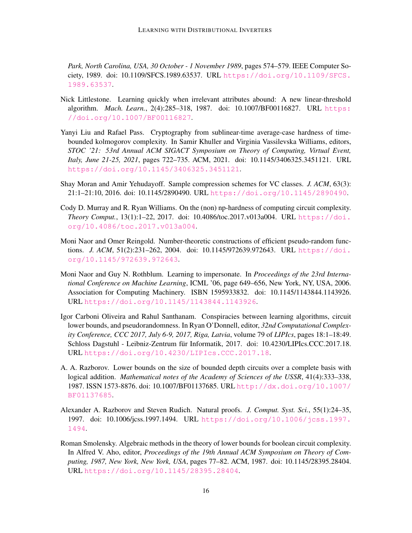*Park, North Carolina, USA, 30 October - 1 November 1989*, pages 574–579. IEEE Computer Society, 1989. doi: 10.1109/SFCS.1989.63537. URL [https://doi.org/10.1109/SFCS.](https://doi.org/10.1109/SFCS.1989.63537) [1989.63537](https://doi.org/10.1109/SFCS.1989.63537).

- <span id="page-15-1"></span>Nick Littlestone. Learning quickly when irrelevant attributes abound: A new linear-threshold algorithm. *Mach. Learn.*, 2(4):285–318, 1987. doi: 10.1007/BF00116827. URL [https:](https://doi.org/10.1007/BF00116827) [//doi.org/10.1007/BF00116827](https://doi.org/10.1007/BF00116827).
- <span id="page-15-9"></span>Yanyi Liu and Rafael Pass. Cryptography from sublinear-time average-case hardness of timebounded kolmogorov complexity. In Samir Khuller and Virginia Vassilevska Williams, editors, *STOC '21: 53rd Annual ACM SIGACT Symposium on Theory of Computing, Virtual Event, Italy, June 21-25, 2021*, pages 722–735. ACM, 2021. doi: 10.1145/3406325.3451121. URL <https://doi.org/10.1145/3406325.3451121>.
- <span id="page-15-2"></span>Shay Moran and Amir Yehudayoff. Sample compression schemes for VC classes. *J. ACM*, 63(3): 21:1–21:10, 2016. doi: 10.1145/2890490. URL <https://doi.org/10.1145/2890490>.
- <span id="page-15-7"></span>Cody D. Murray and R. Ryan Williams. On the (non) np-hardness of computing circuit complexity. *Theory Comput.*, 13(1):1–22, 2017. doi: 10.4086/toc.2017.v013a004. URL [https://doi.](https://doi.org/10.4086/toc.2017.v013a004) [org/10.4086/toc.2017.v013a004](https://doi.org/10.4086/toc.2017.v013a004).
- <span id="page-15-6"></span>Moni Naor and Omer Reingold. Number-theoretic constructions of efficient pseudo-random functions. *J. ACM*, 51(2):231–262, 2004. doi: 10.1145/972639.972643. URL [https://doi.](https://doi.org/10.1145/972639.972643) [org/10.1145/972639.972643](https://doi.org/10.1145/972639.972643).
- <span id="page-15-8"></span>Moni Naor and Guy N. Rothblum. Learning to impersonate. In *Proceedings of the 23rd International Conference on Machine Learning*, ICML '06, page 649–656, New York, NY, USA, 2006. Association for Computing Machinery. ISBN 1595933832. doi: 10.1145/1143844.1143926. URL <https://doi.org/10.1145/1143844.1143926>.
- <span id="page-15-3"></span>Igor Carboni Oliveira and Rahul Santhanam. Conspiracies between learning algorithms, circuit lower bounds, and pseudorandomness. In Ryan O'Donnell, editor, *32nd Computational Complexity Conference, CCC 2017, July 6-9, 2017, Riga, Latvia*, volume 79 of *LIPIcs*, pages 18:1–18:49. Schloss Dagstuhl - Leibniz-Zentrum für Informatik, 2017. doi: 10.4230/LIPIcs.CCC.2017.18. URL <https://doi.org/10.4230/LIPIcs.CCC.2017.18>.
- <span id="page-15-4"></span>A. A. Razborov. Lower bounds on the size of bounded depth circuits over a complete basis with logical addition. *Mathematical notes of the Academy of Sciences of the USSR*, 41(4):333–338, 1987. ISSN 1573-8876. doi: 10.1007/BF01137685. URL [http://dx.doi.org/10.1007/](http://dx.doi.org/10.1007/BF01137685) [BF01137685](http://dx.doi.org/10.1007/BF01137685).
- <span id="page-15-0"></span>Alexander A. Razborov and Steven Rudich. Natural proofs. *J. Comput. Syst. Sci.*, 55(1):24–35, 1997. doi: 10.1006/jcss.1997.1494. URL [https://doi.org/10.1006/jcss.1997.](https://doi.org/10.1006/jcss.1997.1494) [1494](https://doi.org/10.1006/jcss.1997.1494).
- <span id="page-15-5"></span>Roman Smolensky. Algebraic methods in the theory of lower bounds for boolean circuit complexity. In Alfred V. Aho, editor, *Proceedings of the 19th Annual ACM Symposium on Theory of Computing, 1987, New York, New York, USA*, pages 77–82. ACM, 1987. doi: 10.1145/28395.28404. URL <https://doi.org/10.1145/28395.28404>.